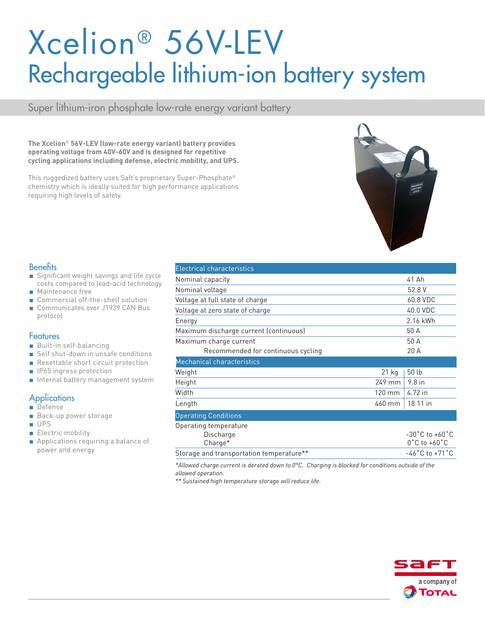# Xcelion® 56V-LEV Rechargeable lithium-ion battery system

Super lithium-iron phosphate low-rate energy variant battery

**The Xcelion**® **56V-LEV (low-rate energy variant) battery provides operating voltage from 40V-60V and is designed for repetitive cycling applications including defense, electric mobility, and UPS.** 

This ruggedized battery uses Saft's proprietary Super-Phosphate® chemistry which is ideally suited for high performance applications requiring high levels of safety.



#### **Benefits**

- Significant weight savings and life cycle costs compared to lead-acid technology
- Maintenance free
- Commercial off-the-shelf solution
- Communicates over J1939 CAN Bus protocol

#### **Features**

- Built-in self-balancing
- Self shut-down in unsafe conditions
- Resettable short circuit protection
- IP65 ingress protection
- Internal battery management system

#### **Applications**

- Defense
- Back-up power storage
- UPS
- Electric mobility
- Applications requiring a balance of power and energy

| <b>Electrical characteristics</b>             |                  |                                                                         |  |
|-----------------------------------------------|------------------|-------------------------------------------------------------------------|--|
| Nominal capacity                              |                  | 41 Ah                                                                   |  |
| Nominal voltage                               |                  | 52.8 V                                                                  |  |
| Voltage at full state of charge               |                  | 60.8 VDC                                                                |  |
| Voltage at zero state of charge               |                  | 40.0 VDC                                                                |  |
| Energy                                        |                  | 2.16 kWh                                                                |  |
| Maximum discharge current (continuous)        |                  | 50 A                                                                    |  |
| Maximum charge current                        |                  | 50 A                                                                    |  |
| Recommended for continuous cycling            |                  | 20 A                                                                    |  |
| Mechanical characteristics                    |                  |                                                                         |  |
| Weight                                        | $21$ kg          | 50 lb                                                                   |  |
| Height                                        | 249 mm           | $9.8$ in                                                                |  |
| Width                                         | $120 \text{ mm}$ | 4.72 in                                                                 |  |
| Length                                        | 460 mm           | 18.11 in                                                                |  |
| <b>Operating Conditions</b>                   |                  |                                                                         |  |
| Operating temperature<br>Discharge<br>Charge* |                  | $-30^{\circ}$ C to $+60^{\circ}$ C<br>$0^{\circ}$ C to +60 $^{\circ}$ C |  |
| Storage and transportation temperature**      |                  | $-46^{\circ}$ C to $+71^{\circ}$ C                                      |  |

*\*Allowed charge current is derated down to 0°C. Charging is blocked for conditions outside of the allowed operation.*

*\*\* Sustained high temperature storage will reduce life.*